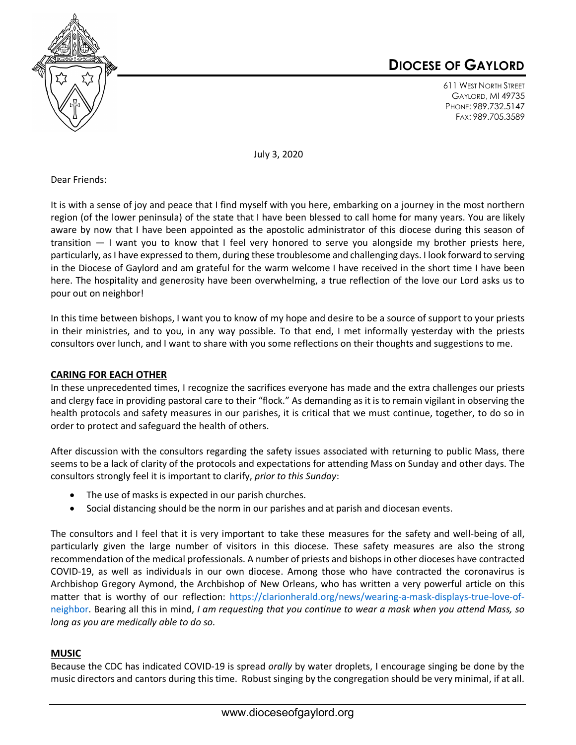

# **DIOCESE OF GAYLORD**

611 WEST NORTH STREET GAYLORD, MI 49735 PHONE: 989.732.5147 FAX: 989.705.3589

July 3, 2020

Dear Friends:

It is with a sense of joy and peace that I find myself with you here, embarking on a journey in the most northern region (of the lower peninsula) of the state that I have been blessed to call home for many years. You are likely aware by now that I have been appointed as the apostolic administrator of this diocese during this season of transition — I want you to know that I feel very honored to serve you alongside my brother priests here, particularly, as I have expressed to them, during these troublesome and challenging days. I look forward to serving in the Diocese of Gaylord and am grateful for the warm welcome I have received in the short time I have been here. The hospitality and generosity have been overwhelming, a true reflection of the love our Lord asks us to pour out on neighbor!

In this time between bishops, I want you to know of my hope and desire to be a source of support to your priests in their ministries, and to you, in any way possible. To that end, I met informally yesterday with the priests consultors over lunch, and I want to share with you some reflections on their thoughts and suggestions to me.

## **CARING FOR EACH OTHER**

In these unprecedented times, I recognize the sacrifices everyone has made and the extra challenges our priests and clergy face in providing pastoral care to their "flock." As demanding as it is to remain vigilant in observing the health protocols and safety measures in our parishes, it is critical that we must continue, together, to do so in order to protect and safeguard the health of others.

After discussion with the consultors regarding the safety issues associated with returning to public Mass, there seems to be a lack of clarity of the protocols and expectations for attending Mass on Sunday and other days. The consultors strongly feel it is important to clarify, *prior to this Sunday*:

- The use of masks is expected in our parish churches.
- Social distancing should be the norm in our parishes and at parish and diocesan events.

The consultors and I feel that it is very important to take these measures for the safety and well-being of all, particularly given the large number of visitors in this diocese. These safety measures are also the strong recommendation of the medical professionals. A number of priests and bishops in other dioceses have contracted COVID-19, as well as individuals in our own diocese. Among those who have contracted the coronavirus is Archbishop Gregory Aymond, the Archbishop of New Orleans, who has written a very powerful article on this matter that is worthy of our reflection: https://clarionherald.org/news/wearing-a-mask-displays-true-love-ofneighbor. Bearing all this in mind, *I am requesting that you continue to wear a mask when you attend Mass, so long as you are medically able to do so.* 

### **MUSIC**

Because the CDC has indicated COVID-19 is spread *orally* by water droplets, I encourage singing be done by the music directors and cantors during this time. Robust singing by the congregation should be very minimal, if at all.